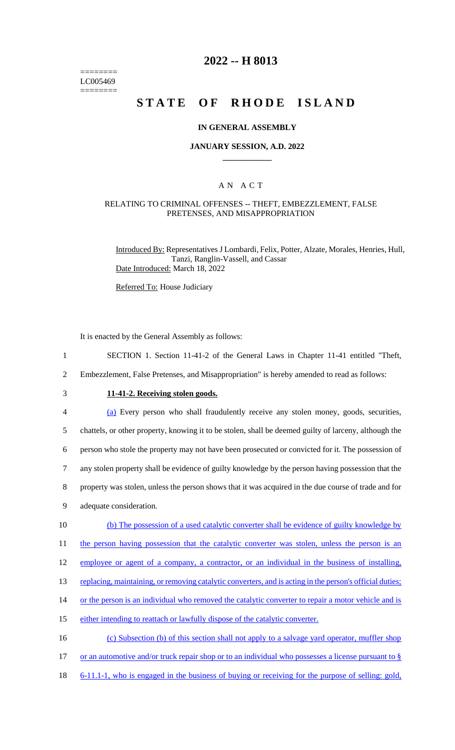======== LC005469 ========

# **2022 -- H 8013**

# **STATE OF RHODE ISLAND**

#### **IN GENERAL ASSEMBLY**

#### **JANUARY SESSION, A.D. 2022 \_\_\_\_\_\_\_\_\_\_\_\_**

### A N A C T

#### RELATING TO CRIMINAL OFFENSES -- THEFT, EMBEZZLEMENT, FALSE PRETENSES, AND MISAPPROPRIATION

Introduced By: Representatives J Lombardi, Felix, Potter, Alzate, Morales, Henries, Hull, Tanzi, Ranglin-Vassell, and Cassar Date Introduced: March 18, 2022

Referred To: House Judiciary

It is enacted by the General Assembly as follows:

- 1 SECTION 1. Section 11-41-2 of the General Laws in Chapter 11-41 entitled "Theft,
- 2 Embezzlement, False Pretenses, and Misappropriation" is hereby amended to read as follows:
- 

# 3 **11-41-2. Receiving stolen goods.**

4 (a) Every person who shall fraudulently receive any stolen money, goods, securities,

5 chattels, or other property, knowing it to be stolen, shall be deemed guilty of larceny, although the

6 person who stole the property may not have been prosecuted or convicted for it. The possession of

7 any stolen property shall be evidence of guilty knowledge by the person having possession that the

8 property was stolen, unless the person shows that it was acquired in the due course of trade and for

- 9 adequate consideration.
- 10 (b) The possession of a used catalytic converter shall be evidence of guilty knowledge by 11 the person having possession that the catalytic converter was stolen, unless the person is an 12 employee or agent of a company, a contractor, or an individual in the business of installing,
- 13 replacing, maintaining, or removing catalytic converters, and is acting in the person's official duties;
- 14 or the person is an individual who removed the catalytic converter to repair a motor vehicle and is
- 15 either intending to reattach or lawfully dispose of the catalytic converter.
- 16 (c) Subsection (b) of this section shall not apply to a salvage yard operator, muffler shop
- 17 or an automotive and/or truck repair shop or to an individual who possesses a license pursuant to  $\S$
- 18 6-11.1-1, who is engaged in the business of buying or receiving for the purpose of selling: gold,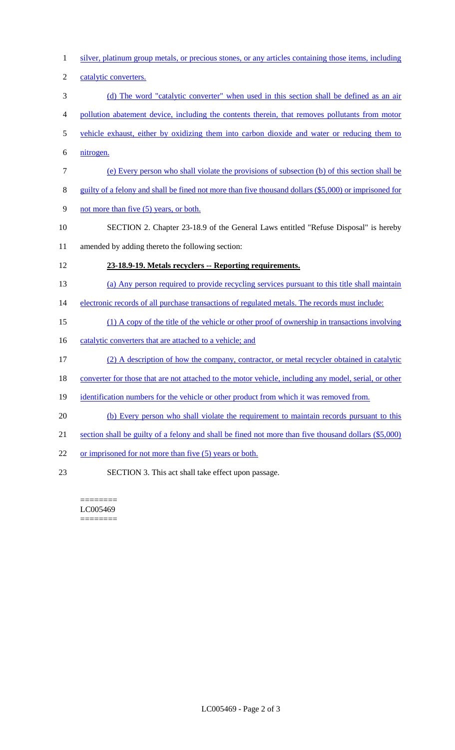- 1 silver, platinum group metals, or precious stones, or any articles containing those items, including 2 catalytic converters. 3 (d) The word "catalytic converter" when used in this section shall be defined as an air 4 pollution abatement device, including the contents therein, that removes pollutants from motor 5 vehicle exhaust, either by oxidizing them into carbon dioxide and water or reducing them to 6 nitrogen. 7 (e) Every person who shall violate the provisions of subsection (b) of this section shall be 8 guilty of a felony and shall be fined not more than five thousand dollars (\$5,000) or imprisoned for 9 not more than five (5) years, or both. 10 SECTION 2. Chapter 23-18.9 of the General Laws entitled "Refuse Disposal" is hereby 11 amended by adding thereto the following section: 12 **23-18.9-19. Metals recyclers -- Reporting requirements.**  13 (a) Any person required to provide recycling services pursuant to this title shall maintain 14 electronic records of all purchase transactions of regulated metals. The records must include: 15 (1) A copy of the title of the vehicle or other proof of ownership in transactions involving 16 catalytic converters that are attached to a vehicle; and 17 (2) A description of how the company, contractor, or metal recycler obtained in catalytic 18 converter for those that are not attached to the motor vehicle, including any model, serial, or other 19 identification numbers for the vehicle or other product from which it was removed from. 20 (b) Every person who shall violate the requirement to maintain records pursuant to this 21 section shall be guilty of a felony and shall be fined not more than five thousand dollars (\$5,000) 22 or imprisoned for not more than five (5) years or both. 23 SECTION 3. This act shall take effect upon passage.
	- ======== LC005469 ========